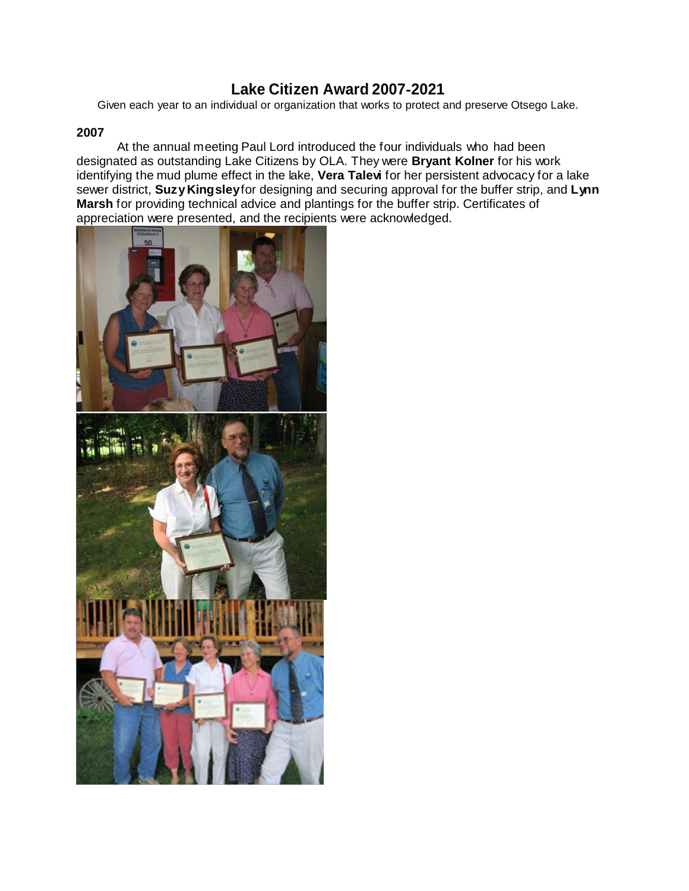# **Lake Citizen Award 2007**‐**2021**

Given each year to an individual or organization that works to protect and preserve Otsego Lake.

# **2007**

At the annual meeting Paul Lord introduced the four individuals who had been designated as outstanding Lake Citizens by OLA. They were **Bryant Kolner** for his work identifying the mud plume effect in the lake, **Vera Talevi** for her persistent advocacy for a lake sewer district, **SuzyKingsley**for designing and securing approval for the buffer strip, and **Lynn Marsh** for providing technical advice and plantings for the buffer strip. Certificates of appreciation were presented, and the recipients were acknowledged.

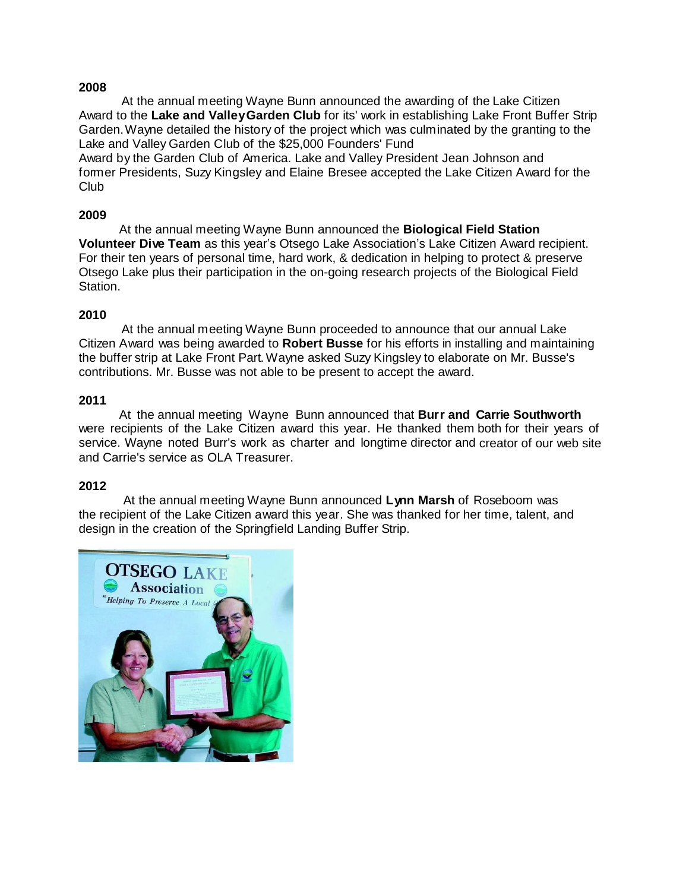At the annual meeting Wayne Bunn announced the awarding of the Lake Citizen Award to the **Lake and ValleyGarden Club** for its' work in establishing Lake Front Buffer Strip Garden.Wayne detailed the history of the project which was culminated by the granting to the Lake and Valley Garden Club of the \$25,000 Founders' Fund

Award by the Garden Club of America. Lake and Valley President Jean Johnson and former Presidents, Suzy Kingsley and Elaine Bresee accepted the Lake Citizen Award for the Club

## **2009**

At the annual meeting Wayne Bunn announced the **Biological Field Station Volunteer Dive Team** as this year's Otsego Lake Association's Lake Citizen Award recipient. For their ten years of personal time, hard work, & dedication in helping to protect & preserve Otsego Lake plus their participation in the on-going research projects of the Biological Field Station.

## **2010**

At the annual meeting Wayne Bunn proceeded to announce that our annual Lake Citizen Award was being awarded to **Robert Busse** for his efforts in installing and maintaining the buffer strip at Lake Front Part.Wayne asked Suzy Kingsley to elaborate on Mr. Busse's contributions. Mr. Busse was not able to be present to accept the award.

## **2011**

At the annual meeting Wayne Bunn announced that **Burr and Carrie Southworth** were recipients of the Lake Citizen award this year. He thanked them both for their years of service. Wayne noted Burr's work as charter and longtime director and creator of our web site and Carrie's service as OLA Treasurer.

# **2012**

At the annual meeting Wayne Bunn announced **Lynn Marsh** of Roseboom was the recipient of the Lake Citizen award this year. She was thanked for her time, talent, and design in the creation of the Springfield Landing Buffer Strip.

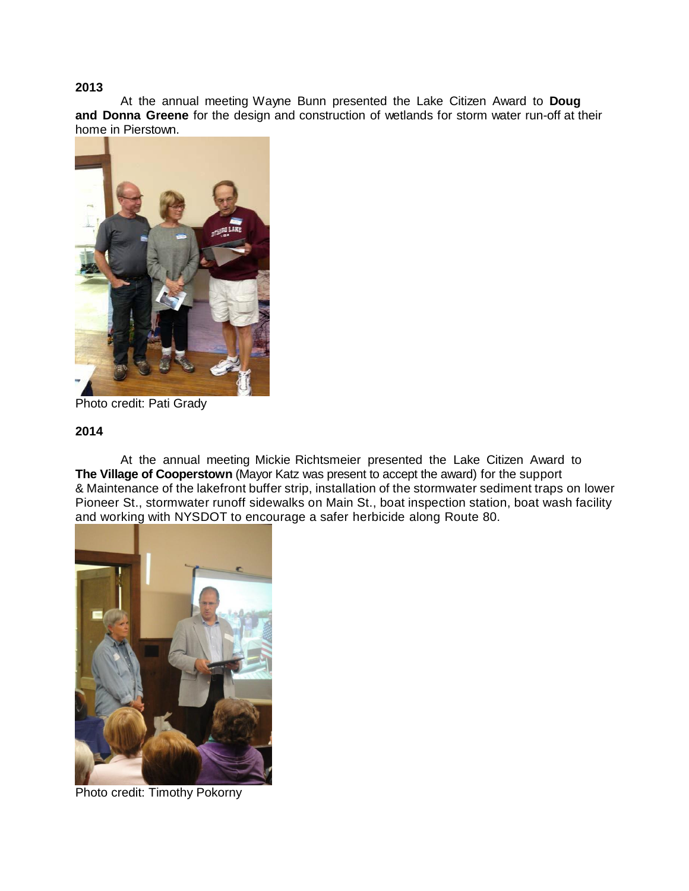At the annual meeting Wayne Bunn presented the Lake Citizen Award to **Doug and Donna Greene** for the design and construction of wetlands for storm water run-off at their home in Pierstown.



Photo credit: Pati Grady

## **2014**

At the annual meeting Mickie Richtsmeier presented the Lake Citizen Award to **The Village of Cooperstown** (Mayor Katz was present to accept the award) for the support & Maintenance of the lakefront buffer strip, installation of the stormwater sediment traps on lower Pioneer St., stormwater runoff sidewalks on Main St., boat inspection station, boat wash facility and working with NYSDOT to encourage a safer herbicide along Route 80.



Photo credit: Timothy Pokorny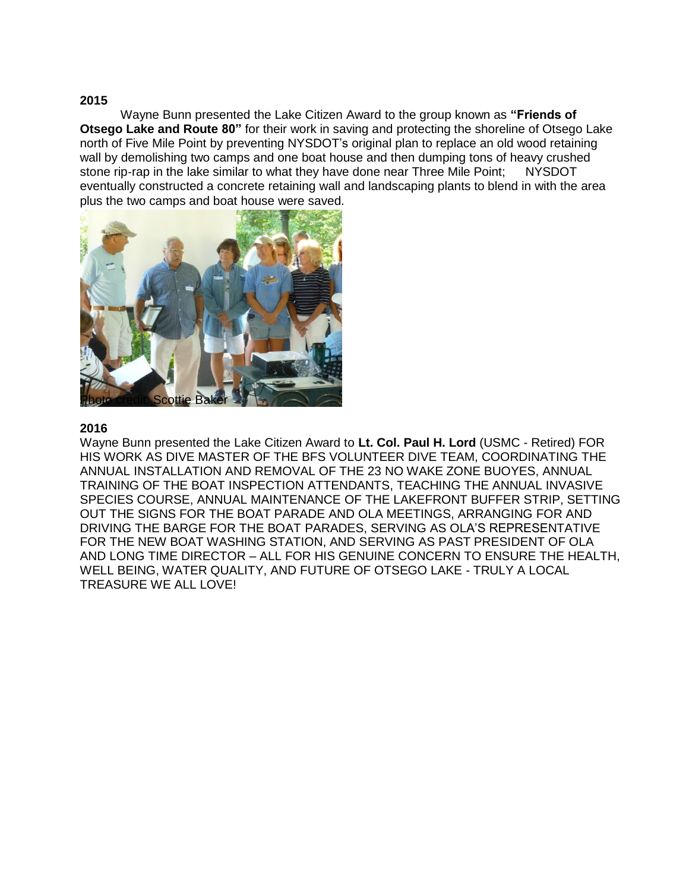Wayne Bunn presented the Lake Citizen Award to the group known as **"Friends of Otsego Lake and Route 80"** for their work in saving and protecting the shoreline of Otsego Lake north of Five Mile Point by preventing NYSDOT's original plan to replace an old wood retaining wall by demolishing two camps and one boat house and then dumping tons of heavy crushed stone rip-rap in the lake similar to what they have done near Three Mile Point; NYSDOT eventually constructed a concrete retaining wall and landscaping plants to blend in with the area plus the two camps and boat house were saved.



#### **2016**

Wayne Bunn presented the Lake Citizen Award to **Lt. Col. Paul H. Lord** (USMC - Retired) FOR HIS WORK AS DIVE MASTER OF THE BFS VOLUNTEER DIVE TEAM, COORDINATING THE ANNUAL INSTALLATION AND REMOVAL OF THE 23 NO WAKE ZONE BUOYES, ANNUAL TRAINING OF THE BOAT INSPECTION ATTENDANTS, TEACHING THE ANNUAL INVASIVE SPECIES COURSE, ANNUAL MAINTENANCE OF THE LAKEFRONT BUFFER STRIP, SETTING OUT THE SIGNS FOR THE BOAT PARADE AND OLA MEETINGS, ARRANGING FOR AND DRIVING THE BARGE FOR THE BOAT PARADES, SERVING AS OLA'S REPRESENTATIVE FOR THE NEW BOAT WASHING STATION, AND SERVING AS PAST PRESIDENT OF OLA AND LONG TIME DIRECTOR – ALL FOR HIS GENUINE CONCERN TO ENSURE THE HEALTH, WELL BEING, WATER QUALITY, AND FUTURE OF OTSEGO LAKE - TRULY A LOCAL TREASURE WE ALL LOVE!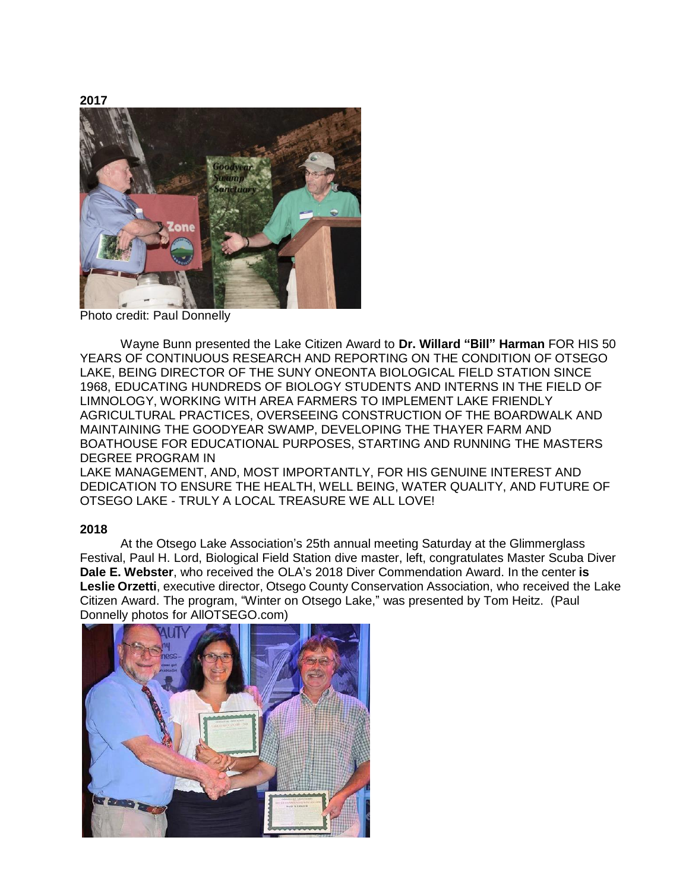

Photo credit: Paul Donnelly

Wayne Bunn presented the Lake Citizen Award to **Dr. Willard "Bill" Harman** FOR HIS 50 YEARS OF CONTINUOUS RESEARCH AND REPORTING ON THE CONDITION OF OTSEGO LAKE, BEING DIRECTOR OF THE SUNY ONEONTA BIOLOGICAL FIELD STATION SINCE 1968, EDUCATING HUNDREDS OF BIOLOGY STUDENTS AND INTERNS IN THE FIELD OF LIMNOLOGY, WORKING WITH AREA FARMERS TO IMPLEMENT LAKE FRIENDLY AGRICULTURAL PRACTICES, OVERSEEING CONSTRUCTION OF THE BOARDWALK AND MAINTAINING THE GOODYEAR SWAMP, DEVELOPING THE THAYER FARM AND BOATHOUSE FOR EDUCATIONAL PURPOSES, STARTING AND RUNNING THE MASTERS DEGREE PROGRAM IN

LAKE MANAGEMENT, AND, MOST IMPORTANTLY, FOR HIS GENUINE INTEREST AND DEDICATION TO ENSURE THE HEALTH, WELL BEING, WATER QUALITY, AND FUTURE OF OTSEGO LAKE - TRULY A LOCAL TREASURE WE ALL LOVE!

# **2018**

At the Otsego Lake Association's 25th annual meeting Saturday at the Glimmerglass Festival, Paul H. Lord, Biological Field Station dive master, left, congratulates Master Scuba Diver **Dale E. Webster**, who received the OLA's 2018 Diver Commendation Award. In the center **is Leslie Orzetti**, executive director, Otsego County Conservation Association, who received the Lake Citizen Award. The program, "Winter on Otsego Lake," was presented by Tom Heitz. (Paul Donnelly photos for AllOTSEGO.com)